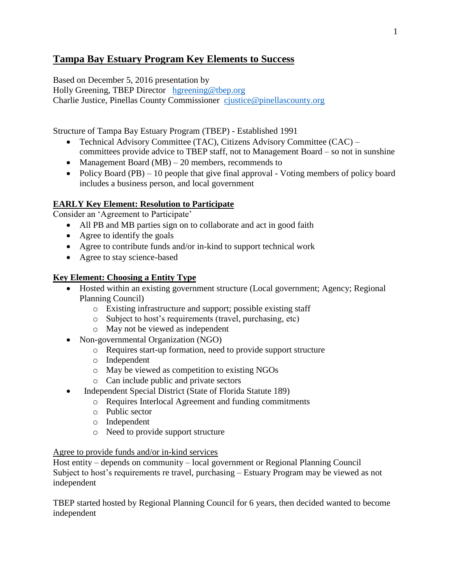# **Tampa Bay Estuary Program Key Elements to Success**

Based on December 5, 2016 presentation by

Holly Greening, TBEP Director [hgreening@tbep.org](mailto:hgreening@tbep.org) Charlie Justice, Pinellas County Commissioner [cjustice@pinellascounty.org](mailto:cjustice@pinellascounty.org)

Structure of Tampa Bay Estuary Program (TBEP) - Established 1991

- Technical Advisory Committee (TAC), Citizens Advisory Committee (CAC) committees provide advice to TBEP staff, not to Management Board – so not in sunshine
- Management Board  $(MB) 20$  members, recommends to
- Policy Board (PB) 10 people that give final approval Voting members of policy board includes a business person, and local government

## **EARLY Key Element: Resolution to Participate**

Consider an 'Agreement to Participate'

- All PB and MB parties sign on to collaborate and act in good faith
- Agree to identify the goals
- Agree to contribute funds and/or in-kind to support technical work
- Agree to stay science-based

## **Key Element: Choosing a Entity Type**

- Hosted within an existing government structure (Local government; Agency; Regional Planning Council)
	- o Existing infrastructure and support; possible existing staff
	- o Subject to host's requirements (travel, purchasing, etc)
	- o May not be viewed as independent
- Non-governmental Organization (NGO)
	- o Requires start-up formation, need to provide support structure
	- o Independent
	- o May be viewed as competition to existing NGOs
	- o Can include public and private sectors
- Independent Special District (State of Florida Statute 189)
	- o Requires Interlocal Agreement and funding commitments
	- o Public sector
	- o Independent
	- o Need to provide support structure

#### Agree to provide funds and/or in-kind services

Host entity – depends on community – local government or Regional Planning Council Subject to host's requirements re travel, purchasing – Estuary Program may be viewed as not independent

TBEP started hosted by Regional Planning Council for 6 years, then decided wanted to become independent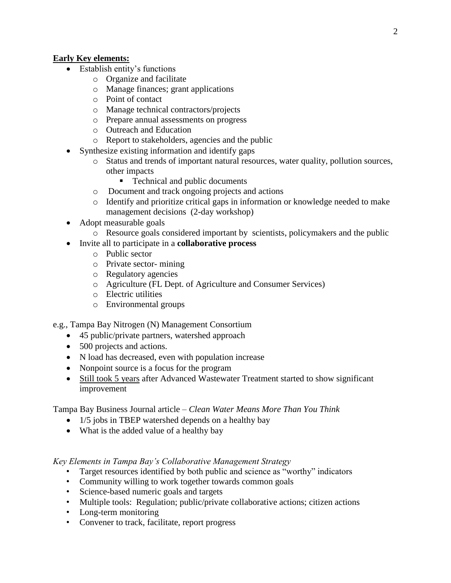### **Early Key elements:**

- Establish entity's functions
	- o Organize and facilitate
	- o Manage finances; grant applications
	- o Point of contact
	- o Manage technical contractors/projects
	- o Prepare annual assessments on progress
	- o Outreach and Education
	- o Report to stakeholders, agencies and the public
- Synthesize existing information and identify gaps
	- o Status and trends of important natural resources, water quality, pollution sources, other impacts
		- Technical and public documents
	- o Document and track ongoing projects and actions
	- o Identify and prioritize critical gaps in information or knowledge needed to make management decisions (2-day workshop)
- Adopt measurable goals
	- o Resource goals considered important by scientists, policymakers and the public
- Invite all to participate in a **collaborative process**
	- o Public sector
	- o Private sector- mining
	- o Regulatory agencies
	- o Agriculture (FL Dept. of Agriculture and Consumer Services)
	- o Electric utilities
	- o Environmental groups

e.g., Tampa Bay Nitrogen (N) Management Consortium

- 45 public/private partners, watershed approach
- 500 projects and actions.
- N load has decreased, even with population increase
- Nonpoint source is a focus for the program
- Still took 5 years after Advanced Wastewater Treatment started to show significant improvement

Tampa Bay Business Journal article – *Clean Water Means More Than You Think*

- 1/5 jobs in TBEP watershed depends on a healthy bay
- What is the added value of a healthy bay

*Key Elements in Tampa Bay's Collaborative Management Strategy*

- Target resources identified by both public and science as "worthy" indicators
- Community willing to work together towards common goals
- Science-based numeric goals and targets
- Multiple tools: Regulation; public/private collaborative actions; citizen actions
- Long-term monitoring
- Convener to track, facilitate, report progress